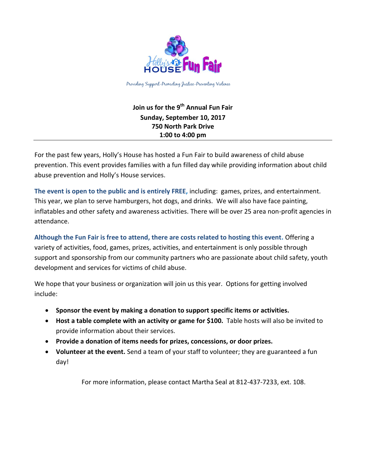

# **Join us for the 9 th Annual Fun Fair Sunday, September 10, 2017 750 North Park Drive 1:00 to 4:00 pm**

For the past few years, Holly's House has hosted a Fun Fair to build awareness of child abuse prevention. This event provides families with a fun filled day while providing information about child abuse prevention and Holly's House services.

**The event is open to the public and is entirely FREE,** including: games, prizes, and entertainment. This year, we plan to serve hamburgers, hot dogs, and drinks. We will also have face painting, inflatables and other safety and awareness activities. There will be over 25 area non-profit agencies in attendance.

**Although the Fun Fair is free to attend, there are costs related to hosting this event.** Offering a variety of activities, food, games, prizes, activities, and entertainment is only possible through support and sponsorship from our community partners who are passionate about child safety, youth development and services for victims of child abuse.

We hope that your business or organization will join us this year. Options for getting involved include:

- **Sponsor the event by making a donation to support specific items or activities.**
- **Host a table complete with an activity or game for \$100.** Table hosts will also be invited to provide information about their services.
- **Provide a donation of items needs for prizes, concessions, or door prizes.**
- **Volunteer at the event.** Send a team of your staff to volunteer; they are guaranteed a fun day!

For more information, please contact Martha Seal at 812-437-7233, ext. 108.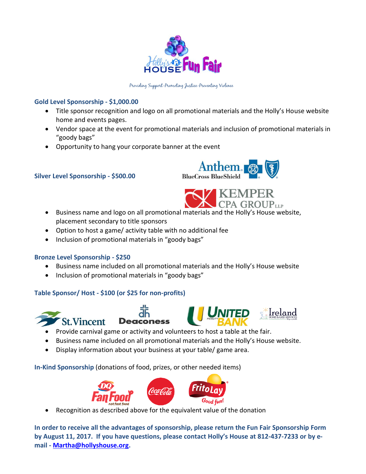

# **Gold Level Sponsorship - \$1,000.00**

- Title sponsor recognition and logo on all promotional materials and the Holly's House website home and events pages.
- Vendor space at the event for promotional materials and inclusion of promotional materials in "goody bags"
- Opportunity to hang your corporate banner at the event

# **Silver Level Sponsorship - \$500.00**





- Business name and logo on all promotional materials and the Holly's House website, placement secondary to title sponsors
- Option to host a game/ activity table with no additional fee
- Inclusion of promotional materials in "goody bags"

### **Bronze Level Sponsorship - \$250**

- Business name included on all promotional materials and the Holly's House website
- Inclusion of promotional materials in "goody bags"

### **Table Sponsor/ Host - \$100 (or \$25 for non-profits)**









- Provide carnival game or activity and volunteers to host a table at the fair.
- Business name included on all promotional materials and the Holly's House website.
- Display information about your business at your table/ game area.

**In-Kind Sponsorship** (donations of food, prizes, or other needed items)



Recognition as described above for the equivalent value of the donation

**In order to receive all the advantages of sponsorship, please return the Fun Fair Sponsorship Form by August 11, 2017. If you have questions, please contact Holly's House at 812-437-7233 or by email - [Martha@hollyshouse.org.](mailto:Martha@hollyshouse.org)**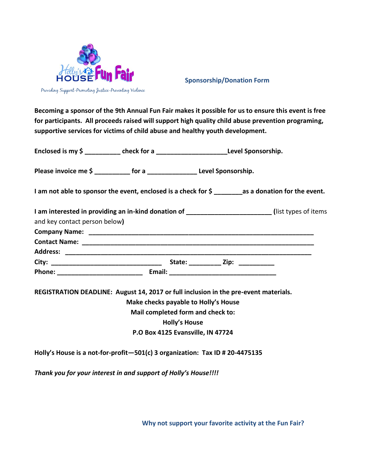

### **Sponsorship/Donation Form**

**Becoming a sponsor of the 9th Annual Fun Fair makes it possible for us to ensure this event is free for participants. All proceeds raised will support high quality child abuse prevention programing, supportive services for victims of child abuse and healthy youth development.** 

| Enclosed is my \$ | check for a | Level Sponsorship. |
|-------------------|-------------|--------------------|
|                   |             |                    |

Please invoice me \$ for a **Level Sponsorship.** 

**I am not able to sponsor the event, enclosed is a check for \$ \_\_\_\_\_\_\_\_as a donation for the event.**

| I am interested in providing an in-kind donation of ____________________________ | (list types of items)                                                                                |             |  |
|----------------------------------------------------------------------------------|------------------------------------------------------------------------------------------------------|-------------|--|
| and key contact person below)                                                    |                                                                                                      |             |  |
|                                                                                  |                                                                                                      |             |  |
|                                                                                  |                                                                                                      |             |  |
| <b>Address:</b>                                                                  |                                                                                                      |             |  |
|                                                                                  |                                                                                                      | State: Zip: |  |
| Phone: ________________________                                                  | Email: 2008 2009 2010 2021 2022 2023 2024 2022 2022 2023 2024 2022 2023 2024 2022 2023 2024 2022 202 |             |  |

**REGISTRATION DEADLINE: August 14, 2017 or full inclusion in the pre-event materials.** 

**Make checks payable to Holly's House**

**Mail completed form and check to:**

**Holly's House**

**P.O Box 4125 Evansville, IN 47724**

**Holly's House is a not-for-profit—501(c) 3 organization: Tax ID # 20-4475135**

*Thank you for your interest in and support of Holly's House!!!!*

**Why not support your favorite activity at the Fun Fair?**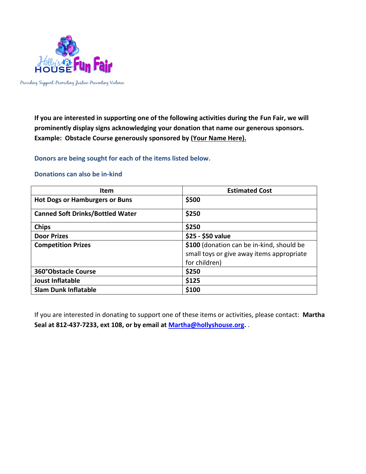

**If you are interested in supporting one of the following activities during the Fun Fair, we will prominently display signs acknowledging your donation that name our generous sponsors. Example: Obstacle Course generously sponsored by (Your Name Here).**

**Donors are being sought for each of the items listed below.**

| <b>Item</b>                             | <b>Estimated Cost</b>                                                                                   |  |  |
|-----------------------------------------|---------------------------------------------------------------------------------------------------------|--|--|
| <b>Hot Dogs or Hamburgers or Buns</b>   | \$500                                                                                                   |  |  |
| <b>Canned Soft Drinks/Bottled Water</b> | \$250                                                                                                   |  |  |
| <b>Chips</b>                            | \$250                                                                                                   |  |  |
| <b>Door Prizes</b>                      | \$25 - \$50 value                                                                                       |  |  |
| <b>Competition Prizes</b>               | \$100 (donation can be in-kind, should be<br>small toys or give away items appropriate<br>for children) |  |  |
| <b>360°Obstacle Course</b>              | \$250                                                                                                   |  |  |
| <b>Joust Inflatable</b>                 | \$125                                                                                                   |  |  |
| <b>Slam Dunk Inflatable</b>             | \$100                                                                                                   |  |  |

#### **Donations can also be in-kind**

If you are interested in donating to support one of these items or activities, please contact: **Martha Seal at 812-437-7233, ext 108, or by email at [Martha@hollyshouse.org.](mailto:Martha@hollyshouse.org)** .